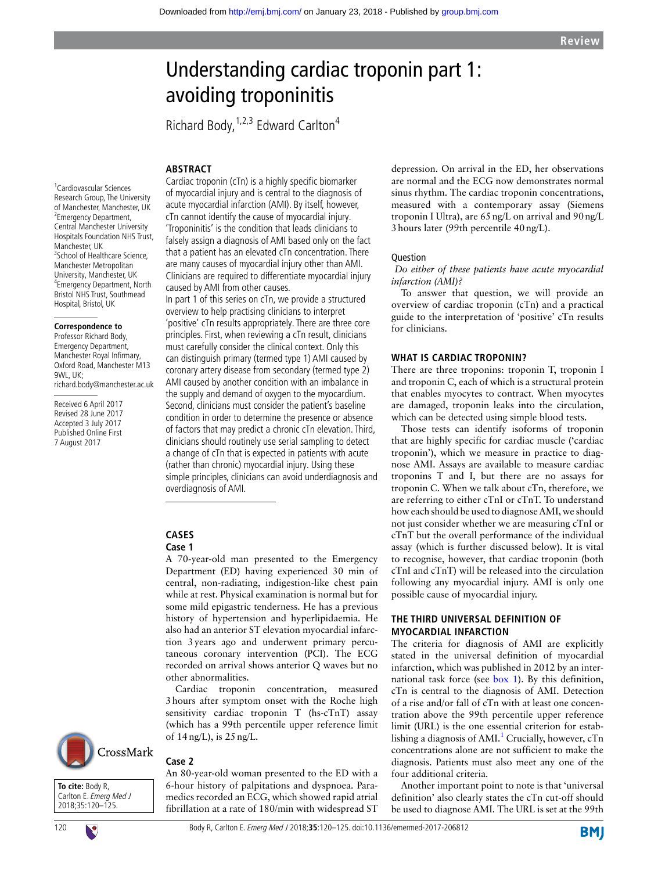# Understanding cardiac troponin part 1: avoiding troponinitis

Richard Body,  $1,2,3$  Edward Carlton<sup>4</sup>

#### **Abstract**

1 Cardiovascular Sciences Research Group, The University of Manchester, Manchester, UK <sup>2</sup> Emergency Department, Central Manchester University Hospitals Foundation NHS Trust, Manchester, UK <sup>3</sup>School of Healthcare Science, Manchester Metropolitan University, Manchester, UK 4 Emergency Department, North Bristol NHS Trust, Southmead Hospital, Bristol, UK

#### **Correspondence to**

Professor Richard Body, Emergency Department, Manchester Royal Infirmary, Oxford Road, Manchester M13 9WL, UK; richard.body@manchester.ac.uk

Received 6 April 2017 Revised 28 June 2017 Accepted 3 July 2017 Published Online First 7 August 2017

Cardiac troponin (cTn) is a highly specific biomarker of myocardial injury and is central to the diagnosis of acute myocardial infarction (AMI). By itself, however, cTn cannot identify the cause of myocardial injury. 'Troponinitis' is the condition that leads clinicians to falsely assign a diagnosis of AMI based only on the fact that a patient has an elevated cTn concentration. There are many causes of myocardial injury other than AMI. Clinicians are required to differentiate myocardial injury caused by AMI from other causes.

In part 1 of this series on cTn, we provide a structured overview to help practising clinicians to interpret 'positive' cTn results appropriately. There are three core principles. First, when reviewing a cTn result, clinicians must carefully consider the clinical context. Only this can distinguish primary (termed type 1) AMI caused by coronary artery disease from secondary (termed type 2) AMI caused by another condition with an imbalance in the supply and demand of oxygen to the myocardium. Second, clinicians must consider the patient's baseline condition in order to determine the presence or absence of factors that may predict a chronic cTn elevation. Third, clinicians should routinely use serial sampling to detect a change of cTn that is expected in patients with acute (rather than chronic) myocardial injury. Using these simple principles, clinicians can avoid underdiagnosis and overdiagnosis of AMI.

# **Cases**

#### **Case 1**

A 70-year-old man presented to the Emergency Department (ED) having experienced 30 min of central, non-radiating, indigestion-like chest pain while at rest. Physical examination is normal but for some mild epigastric tenderness. He has a previous history of hypertension and hyperlipidaemia. He also had an anterior ST elevation myocardial infarction 3years ago and underwent primary percutaneous coronary intervention (PCI). The ECG recorded on arrival shows anterior Q waves but no other abnormalities.

Cardiac troponin concentration, measured 3hours after symptom onset with the Roche high sensitivity cardiac troponin T (hs-cTnT) assay (which has a 99th percentile upper reference limit of 14ng/L), is 25ng/L.

fibrillation at a rate of 180/min with widespread ST

#### CrossMark **Case 2**

**To cite:** Body R, Carlton E. Emerg Med J 2018;35:120–125.

An 80-year-old woman presented to the ED with a 6-hour history of palpitations and dyspnoea. Paramedics recorded an ECG, which showed rapid atrial depression. On arrival in the ED, her observations are normal and the ECG now demonstrates normal sinus rhythm. The cardiac troponin concentrations, measured with a contemporary assay (Siemens troponin I Ultra), are 65ng/L on arrival and 90ng/L 3hours later (99th percentile 40ng/L).

#### Question

#### *Do either of these patients have acute myocardial infarction (AMI)?*

To answer that question, we will provide an overview of cardiac troponin (cTn) and a practical guide to the interpretation of 'positive' cTn results for clinicians.

#### **What is cardiac troponin?**

There are three troponins: troponin T, troponin I and troponin C, each of which is a structural protein that enables myocytes to contract. When myocytes are damaged, troponin leaks into the circulation, which can be detected using simple blood tests.

Those tests can identify isoforms of troponin that are highly specific for cardiac muscle ('cardiac troponin'), which we measure in practice to diagnose AMI. Assays are available to measure cardiac troponins T and I, but there are no assays for troponin C. When we talk about cTn, therefore, we are referring to either cTnI or cTnT. To understand how each should be used to diagnose AMI, we should not just consider whether we are measuring cTnI or cTnT but the overall performance of the individual assay (which is further discussed below). It is vital to recognise, however, that cardiac troponin (both cTnI and cTnT) will be released into the circulation following any myocardial injury. AMI is only one possible cause of myocardial injury.

# **The third universal definition of myocardial infarction**

The criteria for diagnosis of AMI are explicitly stated in the universal definition of myocardial infarction, which was published in 2012 by an international task force (see box 1). By this definition, cTn is central to the diagnosis of AMI. Detection of a rise and/or fall of cTn with at least one concentration above the 99th percentile upper reference limit (URL) is the one essential criterion for establishing a diagnosis of  $AMI<sup>1</sup>$  Crucially, however, cTn concentrations alone are not sufficient to make the diagnosis. Patients must also meet any one of the four additional criteria.

Another important point to note is that 'universal definition' also clearly states the cTn cut-off should be used to diagnose AMI. The URL is set at the 99th

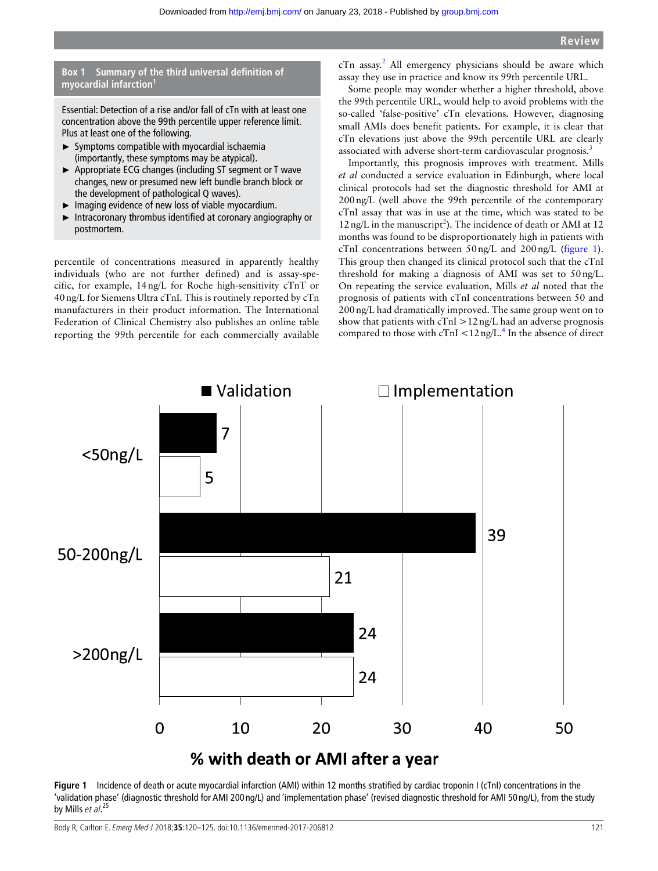# **Box 1 Summary of the third universal definition of myocardial infarction**

Essential: Detection of a rise and/or fall of cTn with at least one concentration above the 99th percentile upper reference limit. Plus at least one of the following.

- ► Symptoms compatible with myocardial ischaemia (importantly, these symptoms may be atypical).
- ► Appropriate ECG changes (including ST segment or T wave changes, new or presumed new left bundle branch block or the development of pathological Q waves).
- ► Imaging evidence of new loss of viable myocardium.
- ► Intracoronary thrombus identified at coronary angiography or postmortem.

percentile of concentrations measured in apparently healthy individuals (who are not further defined) and is assay-specific, for example, 14ng/L for Roche high-sensitivity cTnT or 40ng/L for Siemens Ultra cTnI. This is routinely reported by cTn manufacturers in their product information. The International Federation of Clinical Chemistry also publishes an online table reporting the 99th percentile for each commercially available

cTn assay.<sup>2</sup> All emergency physicians should be aware which assay they use in practice and know its 99th percentile URL.

Some people may wonder whether a higher threshold, above the 99th percentile URL, would help to avoid problems with the so-called 'false-positive' cTn elevations. However, diagnosing small AMIs does benefit patients. For example, it is clear that cTn elevations just above the 99th percentile URL are clearly associated with adverse short-term cardiovascular prognosis.<sup>3</sup>

Importantly, this prognosis improves with treatment. Mills *et al* conducted a service evaluation in Edinburgh, where local clinical protocols had set the diagnostic threshold for AMI at 200ng/L (well above the 99th percentile of the contemporary cTnI assay that was in use at the time, which was stated to be  $12$  ng/L in the manuscript<sup>2</sup>). The incidence of death or AMI at 12 months was found to be disproportionately high in patients with cTnI concentrations between 50ng/L and 200ng/L (figure 1). This group then changed its clinical protocol such that the cTnI threshold for making a diagnosis of AMI was set to 50ng/L. On repeating the service evaluation, Mills *et al* noted that the prognosis of patients with cTnI concentrations between 50 and 200ng/L had dramatically improved. The same group went on to show that patients with cTnI >12ng/L had an adverse prognosis compared to those with  $cTnI < 12$  ng/L.<sup>4</sup> In the absence of direct



Figure 1 Incidence of death or acute myocardial infarction (AMI) within 12 months stratified by cardiac troponin I (cTnI) concentrations in the 'validation phase' (diagnostic threshold for AMI 200 ng/L) and 'implementation phase' (revised diagnostic threshold for AMI 50 ng/L), from the study by Mills et al.<sup>25</sup>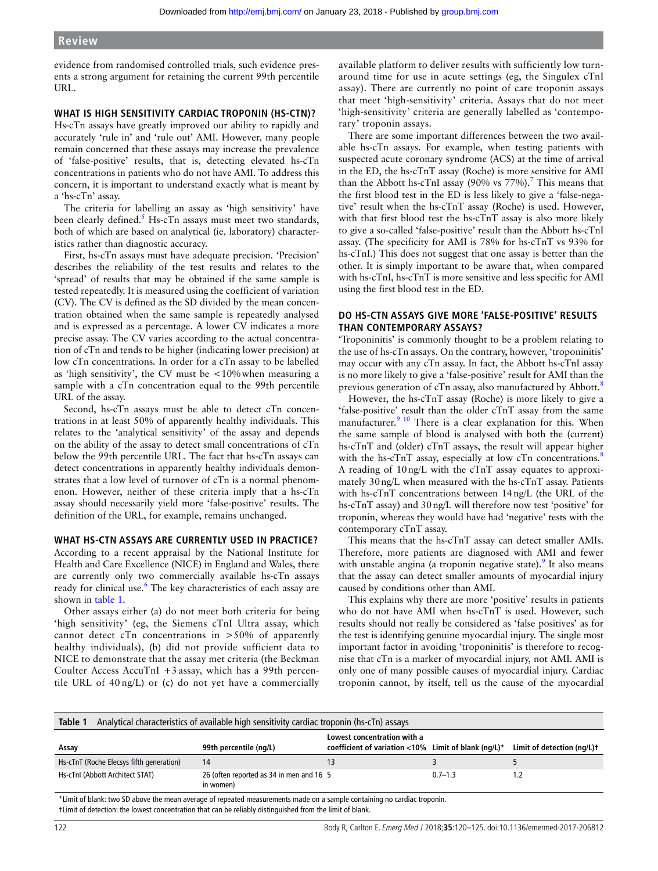### **Review**

evidence from randomised controlled trials, such evidence presents a strong argument for retaining the current 99th percentile URL.

#### **What is high sensitivity cardiac troponin (hs-cTn)?**

Hs-cTn assays have greatly improved our ability to rapidly and accurately 'rule in' and 'rule out' AMI. However, many people remain concerned that these assays may increase the prevalence of 'false-positive' results, that is, detecting elevated hs-cTn concentrations in patients who do not have AMI. To address this concern, it is important to understand exactly what is meant by a 'hs-cTn' assay.

The criteria for labelling an assay as 'high sensitivity' have been clearly defined.<sup>5</sup> Hs-cTn assays must meet two standards, both of which are based on analytical (ie, laboratory) characteristics rather than diagnostic accuracy.

First, hs-cTn assays must have adequate precision. 'Precision' describes the reliability of the test results and relates to the 'spread' of results that may be obtained if the same sample is tested repeatedly. It is measured using the coefficient of variation (CV). The CV is defined as the SD divided by the mean concentration obtained when the same sample is repeatedly analysed and is expressed as a percentage. A lower CV indicates a more precise assay. The CV varies according to the actual concentration of cTn and tends to be higher (indicating lower precision) at low cTn concentrations. In order for a cTn assay to be labelled as 'high sensitivity', the CV must be <10%when measuring a sample with a cTn concentration equal to the 99th percentile URL of the assay.

Second, hs-cTn assays must be able to detect cTn concentrations in at least 50% of apparently healthy individuals. This relates to the 'analytical sensitivity' of the assay and depends on the ability of the assay to detect small concentrations of cTn below the 99th percentile URL. The fact that hs-cTn assays can detect concentrations in apparently healthy individuals demonstrates that a low level of turnover of cTn is a normal phenomenon. However, neither of these criteria imply that a hs-cTn assay should necessarily yield more 'false-positive' results. The definition of the URL, for example, remains unchanged.

#### **What hs-cTn assays are currently used in practice?**

According to a recent appraisal by the National Institute for Health and Care Excellence (NICE) in England and Wales, there are currently only two commercially available hs-cTn assays ready for clinical use.<sup>6</sup> The key characteristics of each assay are shown in table 1.

Other assays either (a) do not meet both criteria for being 'high sensitivity' (eg, the Siemens cTnI Ultra assay, which cannot detect cTn concentrations in  $>50\%$  of apparently healthy individuals), (b) did not provide sufficient data to NICE to demonstrate that the assay met criteria (the Beckman Coulter Access AccuTnI +3 assay, which has a 99th percentile URL of 40 ng/L) or (c) do not yet have a commercially

available platform to deliver results with sufficiently low turnaround time for use in acute settings (eg, the Singulex cTnI assay). There are currently no point of care troponin assays that meet 'high-sensitivity' criteria. Assays that do not meet 'high-sensitivity' criteria are generally labelled as 'contemporary' troponin assays.

There are some important differences between the two available hs-cTn assays. For example, when testing patients with suspected acute coronary syndrome (ACS) at the time of arrival in the ED, the hs-cTnT assay (Roche) is more sensitive for AMI than the Abbott hs-cTnI assay (90% vs  $77%$ ).<sup>7</sup> This means that the first blood test in the ED is less likely to give a 'false-negative' result when the hs-cTnT assay (Roche) is used. However, with that first blood test the hs-cTnT assay is also more likely to give a so-called 'false-positive' result than the Abbott hs-cTnI assay. (The specificity for AMI is 78% for hs-cTnT vs 93% for hs-cTnI.) This does not suggest that one assay is better than the other. It is simply important to be aware that, when compared with hs-cTnI, hs-cTnT is more sensitive and less specific for AMI using the first blood test in the ED.

#### **Do hs-cTn assays give more 'false-positive' results than contemporary assays?**

'Troponinitis' is commonly thought to be a problem relating to the use of hs-cTn assays. On the contrary, however, 'troponinitis' may occur with any cTn assay. In fact, the Abbott hs-cTnI assay is no more likely to give a 'false-positive' result for AMI than the previous generation of cTn assay, also manufactured by Abbott.<sup>8</sup>

However, the hs-cTnT assay (Roche) is more likely to give a 'false-positive' result than the older cTnT assay from the same manufacturer.<sup>9 10</sup> There is a clear explanation for this. When the same sample of blood is analysed with both the (current) hs-cTnT and (older) cTnT assays, the result will appear higher with the hs- $cTnT$  assay, especially at low  $cTn$  concentrations.<sup>8</sup> A reading of 10ng/L with the cTnT assay equates to approximately 30ng/L when measured with the hs-cTnT assay. Patients with hs-cTnT concentrations between 14ng/L (the URL of the hs-cTnT assay) and 30ng/L will therefore now test 'positive' for troponin, whereas they would have had 'negative' tests with the contemporary cTnT assay.

This means that the hs-cTnT assay can detect smaller AMIs. Therefore, more patients are diagnosed with AMI and fewer with unstable angina (a troponin negative state). It also means that the assay can detect smaller amounts of myocardial injury caused by conditions other than AMI.

This explains why there are more 'positive' results in patients who do not have AMI when hs-cTnT is used. However, such results should not really be considered as 'false positives' as for the test is identifying genuine myocardial injury. The single most important factor in avoiding 'troponinitis' is therefore to recognise that cTn is a marker of myocardial injury, not AMI. AMI is only one of many possible causes of myocardial injury. Cardiac troponin cannot, by itself, tell us the cause of the myocardial

| Table 1<br>Analytical characteristics of available high sensitivity cardiac troponin (hs-cTn) assays                     |                                                       |                                                                                         |             |                            |  |
|--------------------------------------------------------------------------------------------------------------------------|-------------------------------------------------------|-----------------------------------------------------------------------------------------|-------------|----------------------------|--|
| Assay                                                                                                                    | 99th percentile (ng/L)                                | Lowest concentration with a<br>coefficient of variation <10% Limit of blank ( $nq/L$ )* |             | Limit of detection (ng/L)t |  |
| Hs-cTnT (Roche Elecsys fifth generation)                                                                                 | 14                                                    |                                                                                         |             |                            |  |
| Hs-cTnl (Abbott Architect STAT)                                                                                          | 26 (often reported as 34 in men and 16 5<br>in women) |                                                                                         | $0.7 - 1.3$ |                            |  |
| *Limit of blank: two SD above the mean average of repeated measurements made on a sample containing no cardiac troponin. |                                                       |                                                                                         |             |                            |  |

†Limit of detection: the lowest concentration that can be reliably distinguished from the limit of blank.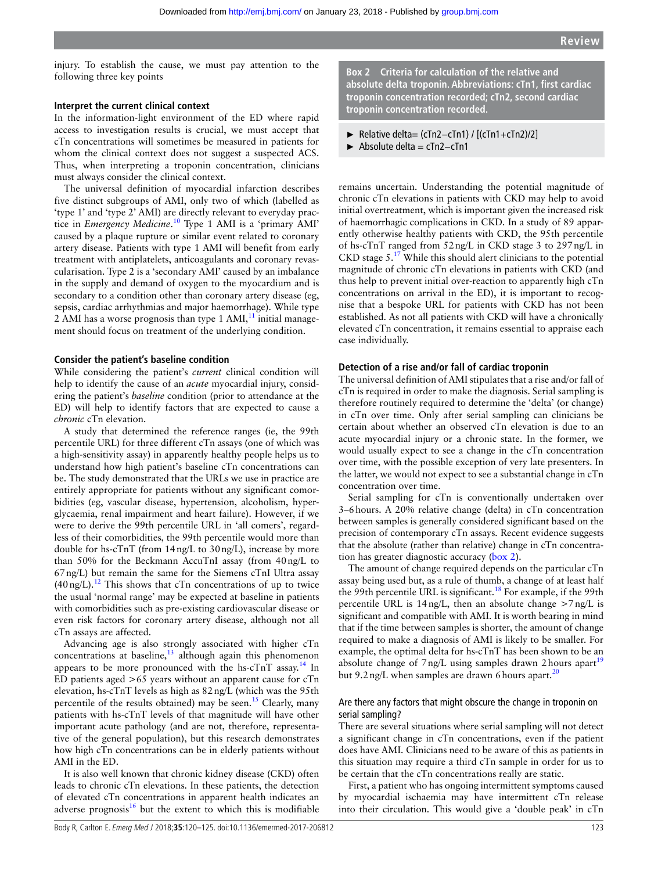injury. To establish the cause, we must pay attention to the following three key points

#### **Interpret the current clinical context**

In the information-light environment of the ED where rapid access to investigation results is crucial, we must accept that cTn concentrations will sometimes be measured in patients for whom the clinical context does not suggest a suspected ACS. Thus, when interpreting a troponin concentration, clinicians must always consider the clinical context.

The universal definition of myocardial infarction describes five distinct subgroups of AMI, only two of which (labelled as 'type 1' and 'type 2' AMI) are directly relevant to everyday practice in *Emergency Medicine*. 10 Type 1 AMI is a 'primary AMI' caused by a plaque rupture or similar event related to coronary artery disease. Patients with type 1 AMI will benefit from early treatment with antiplatelets, anticoagulants and coronary revascularisation. Type 2 is a 'secondary AMI' caused by an imbalance in the supply and demand of oxygen to the myocardium and is secondary to a condition other than coronary artery disease (eg, sepsis, cardiac arrhythmias and major haemorrhage). While type 2 AMI has a worse prognosis than type 1 AMI $<sup>11</sup>$  initial manage-</sup> ment should focus on treatment of the underlying condition.

#### **Consider the patient's baseline condition**

While considering the patient's *current* clinical condition will help to identify the cause of an *acute* myocardial injury, considering the patient's *baseline* condition (prior to attendance at the ED) will help to identify factors that are expected to cause a *chronic* cTn elevation.

A study that determined the reference ranges (ie, the 99th percentile URL) for three different cTn assays (one of which was a high-sensitivity assay) in apparently healthy people helps us to understand how high patient's baseline cTn concentrations can be. The study demonstrated that the URLs we use in practice are entirely appropriate for patients without any significant comorbidities (eg, vascular disease, hypertension, alcoholism, hyperglycaemia, renal impairment and heart failure). However, if we were to derive the 99th percentile URL in 'all comers', regardless of their comorbidities, the 99th percentile would more than double for hs-cTnT (from 14ng/L to 30ng/L), increase by more than 50% for the Beckmann AccuTnI assay (from 40ng/L to 67ng/L) but remain the same for the Siemens cTnI Ultra assay  $(40 \text{ ng/L})$ .<sup>12</sup> This shows that cTn concentrations of up to twice the usual 'normal range' may be expected at baseline in patients with comorbidities such as pre-existing cardiovascular disease or even risk factors for coronary artery disease, although not all cTn assays are affected.

Advancing age is also strongly associated with higher cTn concentrations at baseline, $^{13}$  although again this phenomenon appears to be more pronounced with the hs-c $TnT$  assay.<sup>14</sup> In ED patients aged >65 years without an apparent cause for cTn elevation, hs-cTnT levels as high as 82ng/L (which was the 95th percentile of the results obtained) may be seen.<sup>15</sup> Clearly, many patients with hs-cTnT levels of that magnitude will have other important acute pathology (and are not, therefore, representative of the general population), but this research demonstrates how high cTn concentrations can be in elderly patients without AMI in the ED.

It is also well known that chronic kidney disease (CKD) often leads to chronic cTn elevations. In these patients, the detection of elevated cTn concentrations in apparent health indicates an adverse prognosis $16$  but the extent to which this is modifiable **Box 2 Criteria for calculation of the relative and absolute delta troponin. Abbreviations: cTn1, first cardiac troponin concentration recorded; cTn2, second cardiac troponin concentration recorded.**

- ► Relative delta= (cTn2−cTn1) / [(cTn1+cTn2)/2]
- ► Absolute delta = cTn2−cTn1

remains uncertain. Understanding the potential magnitude of chronic cTn elevations in patients with CKD may help to avoid initial overtreatment, which is important given the increased risk of haemorrhagic complications in CKD. In a study of 89 apparently otherwise healthy patients with CKD, the 95th percentile of hs-cTnT ranged from 52ng/L in CKD stage 3 to 297ng/L in CKD stage  $5.^{17}$  While this should alert clinicians to the potential magnitude of chronic cTn elevations in patients with CKD (and thus help to prevent initial over-reaction to apparently high cTn concentrations on arrival in the ED), it is important to recognise that a bespoke URL for patients with CKD has not been established. As not all patients with CKD will have a chronically elevated cTn concentration, it remains essential to appraise each case individually.

#### **Detection of a rise and/or fall of cardiac troponin**

The universal definition of AMI stipulates that a rise and/or fall of cTn is required in order to make the diagnosis. Serial sampling is therefore routinely required to determine the 'delta' (or change) in cTn over time. Only after serial sampling can clinicians be certain about whether an observed cTn elevation is due to an acute myocardial injury or a chronic state. In the former, we would usually expect to see a change in the cTn concentration over time, with the possible exception of very late presenters. In the latter, we would not expect to see a substantial change in cTn concentration over time.

Serial sampling for cTn is conventionally undertaken over 3–6hours. A 20% relative change (delta) in cTn concentration between samples is generally considered significant based on the precision of contemporary cTn assays. Recent evidence suggests that the absolute (rather than relative) change in cTn concentration has greater diagnostic accuracy (box 2).

The amount of change required depends on the particular cTn assay being used but, as a rule of thumb, a change of at least half the 99th percentile URL is significant.<sup>18</sup> For example, if the 99th percentile URL is  $14 \text{ ng/L}$ , then an absolute change  $>7 \text{ ng/L}$  is significant and compatible with AMI. It is worth bearing in mind that if the time between samples is shorter, the amount of change required to make a diagnosis of AMI is likely to be smaller. For example, the optimal delta for hs-cTnT has been shown to be an absolute change of  $7 \text{ ng/L}$  using samples drawn 2 hours apart<sup>19</sup> but 9.2 ng/L when samples are drawn 6 hours apart.<sup>20</sup>

#### Are there any factors that might obscure the change in troponin on serial sampling?

There are several situations where serial sampling will not detect a significant change in cTn concentrations, even if the patient does have AMI. Clinicians need to be aware of this as patients in this situation may require a third cTn sample in order for us to be certain that the cTn concentrations really are static.

First, a patient who has ongoing intermittent symptoms caused by myocardial ischaemia may have intermittent cTn release into their circulation. This would give a 'double peak' in cTn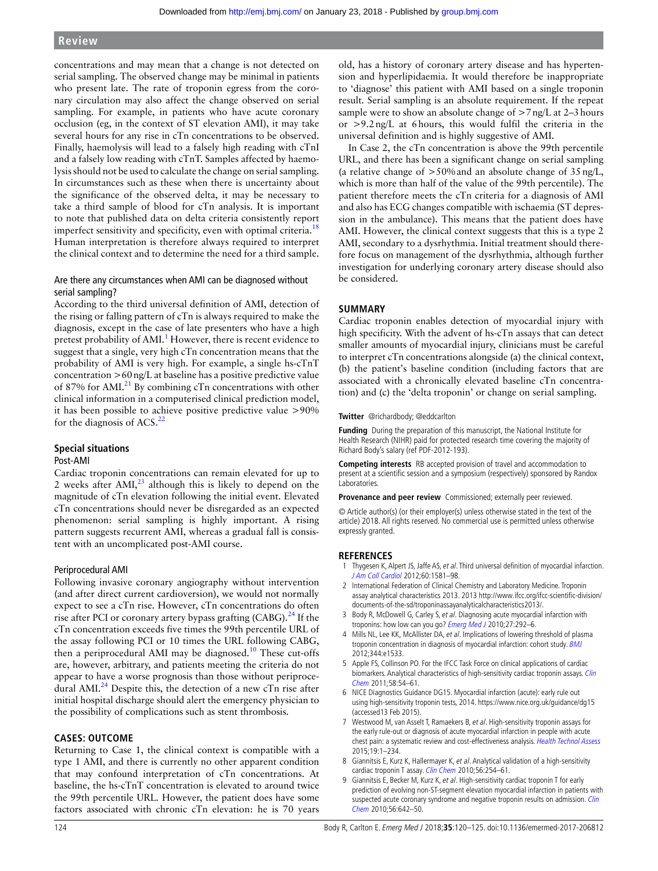# **Review**

concentrations and may mean that a change is not detected on serial sampling. The observed change may be minimal in patients who present late. The rate of troponin egress from the coronary circulation may also affect the change observed on serial sampling. For example, in patients who have acute coronary occlusion (eg, in the context of ST elevation AMI), it may take several hours for any rise in cTn concentrations to be observed. Finally, haemolysis will lead to a falsely high reading with cTnI and a falsely low reading with cTnT. Samples affected by haemolysis should not be used to calculate the change on serial sampling. In circumstances such as these when there is uncertainty about the significance of the observed delta, it may be necessary to take a third sample of blood for cTn analysis. It is important to note that published data on delta criteria consistently report imperfect sensitivity and specificity, even with optimal criteria.<sup>18</sup> Human interpretation is therefore always required to interpret the clinical context and to determine the need for a third sample.

#### Are there any circumstances when AMI can be diagnosed without serial sampling?

According to the third universal definition of AMI, detection of the rising or falling pattern of cTn is always required to make the diagnosis, except in the case of late presenters who have a high pretest probability of AMI.<sup>1</sup> However, there is recent evidence to suggest that a single, very high cTn concentration means that the probability of AMI is very high. For example, a single hs-cTnT concentration >60ng/L at baseline has a positive predictive value of 87% for AMI.<sup>21</sup> By combining cTn concentrations with other clinical information in a computerised clinical prediction model, it has been possible to achieve positive predictive value >90% for the diagnosis of ACS. $^{22}$ 

#### **Special situations** Post-AMI

Cardiac troponin concentrations can remain elevated for up to 2 weeks after  $AMI$ ,<sup>23</sup> although this is likely to depend on the magnitude of cTn elevation following the initial event. Elevated cTn concentrations should never be disregarded as an expected phenomenon: serial sampling is highly important. A rising pattern suggests recurrent AMI, whereas a gradual fall is consistent with an uncomplicated post-AMI course.

#### Periprocedural AMI

Following invasive coronary angiography without intervention (and after direct current cardioversion), we would not normally expect to see a cTn rise. However, cTn concentrations do often rise after PCI or coronary artery bypass grafting  $(CABG)$ . <sup>24</sup> If the cTn concentration exceeds five times the 99th percentile URL of the assay following PCI or 10 times the URL following CABG, then a periprocedural AMI may be diagnosed.<sup>10</sup> These cut-offs are, however, arbitrary, and patients meeting the criteria do not appear to have a worse prognosis than those without periprocedural AMI.<sup>24</sup> Despite this, the detection of a new cTn rise after initial hospital discharge should alert the emergency physician to the possibility of complications such as stent thrombosis.

# **Cases: outcome**

Returning to Case 1, the clinical context is compatible with a type 1 AMI, and there is currently no other apparent condition that may confound interpretation of cTn concentrations. At baseline, the hs-cTnT concentration is elevated to around twice the 99th percentile URL. However, the patient does have some factors associated with chronic cTn elevation: he is 70 years

old, has a history of coronary artery disease and has hypertension and hyperlipidaemia. It would therefore be inappropriate to 'diagnose' this patient with AMI based on a single troponin result. Serial sampling is an absolute requirement. If the repeat sample were to show an absolute change of  $>7$ ng/L at 2–3 hours or >9.2ng/L at 6hours, this would fulfil the criteria in the universal definition and is highly suggestive of AMI.

In Case 2, the cTn concentration is above the 99th percentile URL, and there has been a significant change on serial sampling (a relative change of  $>50\%$  and an absolute change of  $35 \text{ ng/L}$ , which is more than half of the value of the 99th percentile). The patient therefore meets the cTn criteria for a diagnosis of AMI and also has ECG changes compatible with ischaemia (ST depression in the ambulance). This means that the patient does have AMI. However, the clinical context suggests that this is a type 2 AMI, secondary to a dysrhythmia. Initial treatment should therefore focus on management of the dysrhythmia, although further investigation for underlying coronary artery disease should also be considered.

# **Summary**

Cardiac troponin enables detection of myocardial injury with high specificity. With the advent of hs-cTn assays that can detect smaller amounts of myocardial injury, clinicians must be careful to interpret cTn concentrations alongside (a) the clinical context, (b) the patient's baseline condition (including factors that are associated with a chronically elevated baseline cTn concentration) and (c) the 'delta troponin' or change on serial sampling.

**Twitter** @richardbody; @eddcarlton

**Funding** During the preparation of this manuscript, the National Institute for Health Research (NIHR) paid for protected research time covering the majority of Richard Body's salary (ref PDF-2012-193).

**Competing interests** RB accepted provision of travel and accommodation to present at a scientific session and a symposium (respectively) sponsored by Randox Laboratories.

**Provenance and peer review** Commissioned; externally peer reviewed.

© Article author(s) (or their employer(s) unless otherwise stated in the text of the article) 2018. All rights reserved. No commercial use is permitted unless otherwise expressly granted.

#### **References**

- 1 Thygesen K, Alpert JS, Jaffe AS, et al. Third universal definition of myocardial infarction. J Am Coll Cardiol 2012;60:1581–98.
- 2 International Federation of Clinical Chemistry and Laboratory Medicine. Troponin assay analytical characteristics 2013. 2013 http://www.ifcc.org/ifcc-scientific-division/ documents-of-the-sd/troponinassayanalyticalcharacteristics2013/.
- 3 Body R, McDowell G, Carley S, et al. Diagnosing acute myocardial infarction with troponins: how low can you go? Emerg Med J 2010;27:292-6.
- 4 Mills NL, Lee KK, McAllister DA, et al. Implications of lowering threshold of plasma troponin concentration in diagnosis of myocardial infarction: cohort study. BMJ 2012;344:e1533.
- 5 Apple FS, Collinson PO. For the IFCC Task Force on clinical applications of cardiac biomarkers. Analytical characteristics of high-sensitivity cardiac troponin assays. Clin Chem 2011;58:54–61.
- 6 NICE Diagnostics Guidance DG15. Myocardial infarction (acute): early rule out using high-sensitivity troponin tests, 2014. https://www.nice.org.uk/guidance/dg15 (accessed13 Feb 2015).
- 7 Westwood M, van Asselt T, Ramaekers B, et al. High-sensitivity troponin assays for the early rule-out or diagnosis of acute myocardial infarction in people with acute chest pain: a systematic review and cost-effectiveness analysis. Health Technol Assess 2015;19:1–234.
- 8 Giannitsis E, Kurz K, Hallermayer K, et al. Analytical validation of a high-sensitivity cardiac troponin T assay. Clin Chem 2010;56:254-61.
- 9 Giannitsis E, Becker M, Kurz K, et al. High-sensitivity cardiac troponin T for early prediction of evolving non-ST-segment elevation myocardial infarction in patients with suspected acute coronary syndrome and negative troponin results on admission. Clin Chem 2010;56:642–50.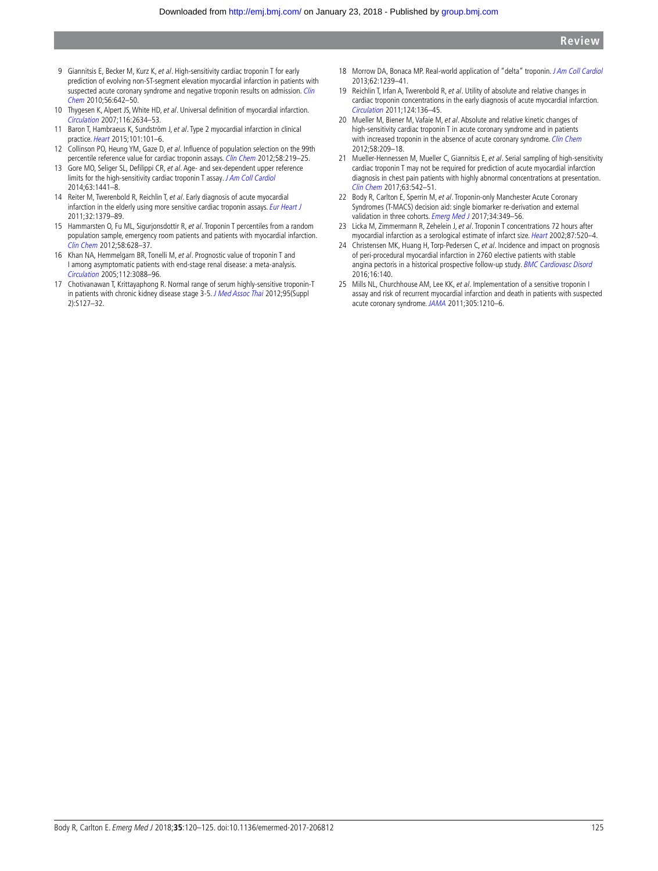- 9 Giannitsis E, Becker M, Kurz K, et al. High-sensitivity cardiac troponin T for early prediction of evolving non-St-segment elevation myocardial infarction in patients with suspected acute coronary syndrome and negative troponin results on admission. Clin Chem 2010;56:642–50.
- 10 Thygesen K, Alpert JS, White HD, et al. Universal definition of myocardial infarction. Circulation 2007;116:2634–53.
- 11 Baron T, Hambraeus K, Sundström J, et al. Type 2 myocardial infarction in clinical practice. Heart 2015;101:101–6.
- 12 Collinson PO, Heung YM, Gaze D, et al. Influence of population selection on the 99th percentile reference value for cardiac troponin assays. Clin Chem 2012;58:219-25.
- 13 Gore MO, Seliger SL, Defilippi CR, et al. Age- and sex-dependent upper reference limits for the high-sensitivity cardiac troponin T assay. J Am Coll Cardiol 2014;63:1441–8.
- 14 Reiter M, Twerenbold R, Reichlin T, et al. Early diagnosis of acute myocardial infarction in the elderly using more sensitive cardiac troponin assays. Eur Heart J 2011;32:1379–89.
- 15 Hammarsten O, Fu ML, Sigurjonsdottir R, et al. Troponin T percentiles from a random population sample, emergency room patients and patients with myocardial infarction. Clin Chem 2012;58:628–37.
- 16 Khan NA, Hemmelgarn BR, Tonelli M, et al. Prognostic value of troponin T and i among asymptomatic patients with end-stage renal disease: a meta-analysis. Circulation 2005;112:3088–96.
- 17 Chotivanawan T, Krittayaphong R. Normal range of serum highly-sensitive troponin-T in patients with chronic kidney disease stage 3-5. J Med Assoc Thai 2012;95(Suppl 2):S127–32.
- 18 Morrow DA, Bonaca MP. Real-world application of "delta" troponin. J Am Coll Cardiol 2013;62:1239–41.
- 19 Reichlin T, Irfan A, Twerenbold R, et al. Utility of absolute and relative changes in cardiac troponin concentrations in the early diagnosis of acute myocardial infarction. Circulation 2011;124:136–45.
- 20 Mueller M, Biener M, Vafaie M, et al. Absolute and relative kinetic changes of high-sensitivity cardiac troponin T in acute coronary syndrome and in patients with increased troponin in the absence of acute coronary syndrome. Clin Chem 2012;58:209–18.
- 21 Mueller-Hennessen M, Mueller C, Giannitsis E, et al. Serial sampling of high-sensitivity cardiac troponin T may not be required for prediction of acute myocardial infarction diagnosis in chest pain patients with highly abnormal concentrations at presentation. Clin Chem 2017;63:542–51.
- 22 Body R, Carlton E, Sperrin M, et al. Troponin-only Manchester Acute Coronary Syndromes (T-MACS) decision aid: single biomarker re-derivation and external validation in three cohorts. Emerg Med J 2017;34:349-56.
- 23 Licka M, Zimmermann R, Zehelein J, et al. Troponin T concentrations 72 hours after myocardial infarction as a serological estimate of infarct size. Heart 2002;87:520–4.
- 24 Christensen MK, Huang H, Torp-Pedersen C, et al. Incidence and impact on prognosis of peri-procedural myocardial infarction in 2760 elective patients with stable angina pectoris in a historical prospective follow-up study. BMC Cardiovasc Disord 2016;16:140.
- 25 Mills NL, Churchhouse AM, Lee KK, et al. Implementation of a sensitive troponin I assay and risk of recurrent myocardial infarction and death in patients with suspected acute coronary syndrome. JAMA 2011;305:1210–6.